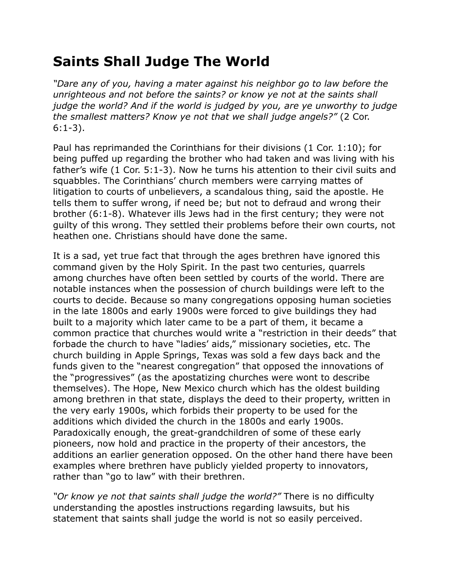## **Saints Shall Judge The World**

*"Dare any of you, having a mater against his neighbor go to law before the unrighteous and not before the saints? or know ye not at the saints shall judge the world? And if the world is judged by you, are ye unworthy to judge the smallest matters? Know ye not that we shall judge angels?"* (2 Cor. 6:1-3).

Paul has reprimanded the Corinthians for their divisions (1 Cor. 1:10); for being puffed up regarding the brother who had taken and was living with his father's wife (1 Cor. 5:1-3). Now he turns his attention to their civil suits and squabbles. The Corinthians' church members were carrying mattes of litigation to courts of unbelievers, a scandalous thing, said the apostle. He tells them to suffer wrong, if need be; but not to defraud and wrong their brother (6:1-8). Whatever ills Jews had in the first century; they were not guilty of this wrong. They settled their problems before their own courts, not heathen one. Christians should have done the same.

It is a sad, yet true fact that through the ages brethren have ignored this command given by the Holy Spirit. In the past two centuries, quarrels among churches have often been settled by courts of the world. There are notable instances when the possession of church buildings were left to the courts to decide. Because so many congregations opposing human societies in the late 1800s and early 1900s were forced to give buildings they had built to a majority which later came to be a part of them, it became a common practice that churches would write a "restriction in their deeds" that forbade the church to have "ladies' aids," missionary societies, etc. The church building in Apple Springs, Texas was sold a few days back and the funds given to the "nearest congregation" that opposed the innovations of the "progressives" (as the apostatizing churches were wont to describe themselves). The Hope, New Mexico church which has the oldest building among brethren in that state, displays the deed to their property, written in the very early 1900s, which forbids their property to be used for the additions which divided the church in the 1800s and early 1900s. Paradoxically enough, the great-grandchildren of some of these early pioneers, now hold and practice in the property of their ancestors, the additions an earlier generation opposed. On the other hand there have been examples where brethren have publicly yielded property to innovators, rather than "go to law" with their brethren.

*"Or know ye not that saints shall judge the world?"* There is no difficulty understanding the apostles instructions regarding lawsuits, but his statement that saints shall judge the world is not so easily perceived.